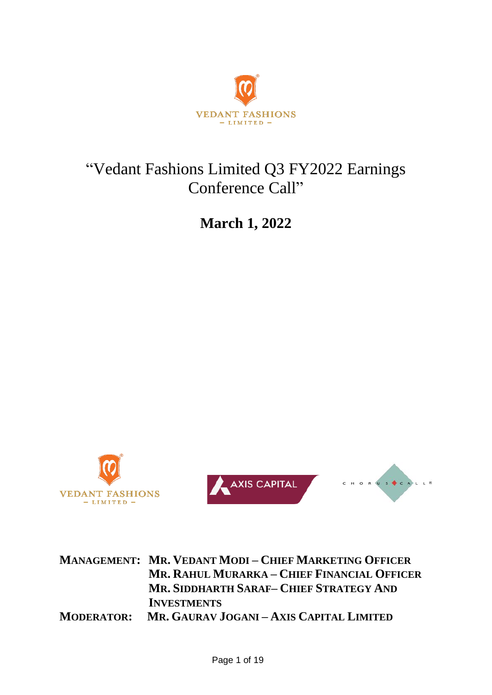

# "Vedant Fashions Limited Q3 FY2022 Earnings Conference Call"

**March 1, 2022**







**MANAGEMENT: MR. VEDANT MODI – CHIEF MARKETING OFFICER MR. RAHUL MURARKA – CHIEF FINANCIAL OFFICER MR. SIDDHARTH SARAF– CHIEF STRATEGY AND INVESTMENTS MODERATOR: MR. GAURAV JOGANI – AXIS CAPITAL LIMITED**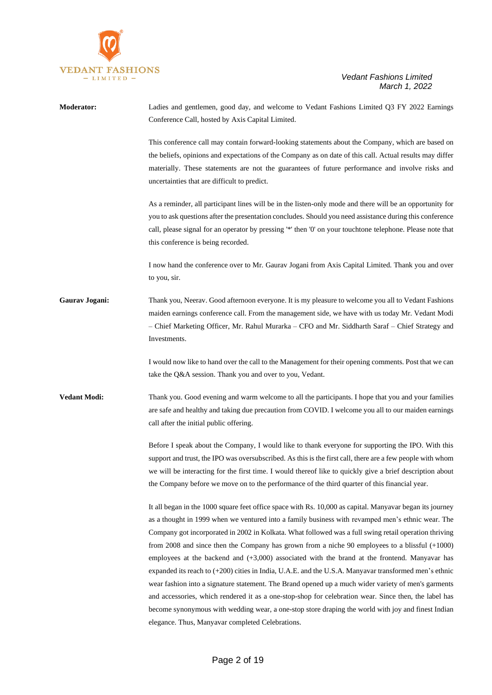

| <b>Moderator:</b>   | Ladies and gentlemen, good day, and welcome to Vedant Fashions Limited Q3 FY 2022 Earnings<br>Conference Call, hosted by Axis Capital Limited.                                                                                                                                                                                                                                                                                                                                                                                                                                                                                                                                                                                                                                                                                                                                                                                                                                                                   |
|---------------------|------------------------------------------------------------------------------------------------------------------------------------------------------------------------------------------------------------------------------------------------------------------------------------------------------------------------------------------------------------------------------------------------------------------------------------------------------------------------------------------------------------------------------------------------------------------------------------------------------------------------------------------------------------------------------------------------------------------------------------------------------------------------------------------------------------------------------------------------------------------------------------------------------------------------------------------------------------------------------------------------------------------|
|                     | This conference call may contain forward-looking statements about the Company, which are based on<br>the beliefs, opinions and expectations of the Company as on date of this call. Actual results may differ<br>materially. These statements are not the guarantees of future performance and involve risks and<br>uncertainties that are difficult to predict.                                                                                                                                                                                                                                                                                                                                                                                                                                                                                                                                                                                                                                                 |
|                     | As a reminder, all participant lines will be in the listen-only mode and there will be an opportunity for<br>you to ask questions after the presentation concludes. Should you need assistance during this conference<br>call, please signal for an operator by pressing '*' then '0' on your touchtone telephone. Please note that<br>this conference is being recorded.                                                                                                                                                                                                                                                                                                                                                                                                                                                                                                                                                                                                                                        |
|                     | I now hand the conference over to Mr. Gaurav Jogani from Axis Capital Limited. Thank you and over<br>to you, sir.                                                                                                                                                                                                                                                                                                                                                                                                                                                                                                                                                                                                                                                                                                                                                                                                                                                                                                |
| Gaurav Jogani:      | Thank you, Neerav. Good afternoon everyone. It is my pleasure to welcome you all to Vedant Fashions<br>maiden earnings conference call. From the management side, we have with us today Mr. Vedant Modi<br>- Chief Marketing Officer, Mr. Rahul Murarka - CFO and Mr. Siddharth Saraf - Chief Strategy and<br>Investments.                                                                                                                                                                                                                                                                                                                                                                                                                                                                                                                                                                                                                                                                                       |
|                     | I would now like to hand over the call to the Management for their opening comments. Post that we can<br>take the Q&A session. Thank you and over to you, Vedant.                                                                                                                                                                                                                                                                                                                                                                                                                                                                                                                                                                                                                                                                                                                                                                                                                                                |
| <b>Vedant Modi:</b> | Thank you. Good evening and warm welcome to all the participants. I hope that you and your families<br>are safe and healthy and taking due precaution from COVID. I welcome you all to our maiden earnings<br>call after the initial public offering.                                                                                                                                                                                                                                                                                                                                                                                                                                                                                                                                                                                                                                                                                                                                                            |
|                     | Before I speak about the Company, I would like to thank everyone for supporting the IPO. With this<br>support and trust, the IPO was oversubscribed. As this is the first call, there are a few people with whom<br>we will be interacting for the first time. I would thereof like to quickly give a brief description about<br>the Company before we move on to the performance of the third quarter of this financial year.                                                                                                                                                                                                                                                                                                                                                                                                                                                                                                                                                                                   |
|                     | It all began in the 1000 square feet office space with Rs. 10,000 as capital. Manyavar began its journey<br>as a thought in 1999 when we ventured into a family business with revamped men's ethnic wear. The<br>Company got incorporated in 2002 in Kolkata. What followed was a full swing retail operation thriving<br>from 2008 and since then the Company has grown from a niche 90 employees to a blissful $(+1000)$<br>employees at the backend and $(+3,000)$ associated with the brand at the frontend. Manyavar has<br>expanded its reach to (+200) cities in India, U.A.E. and the U.S.A. Manyavar transformed men's ethnic<br>wear fashion into a signature statement. The Brand opened up a much wider variety of men's garments<br>and accessories, which rendered it as a one-stop-shop for celebration wear. Since then, the label has<br>become synonymous with wedding wear, a one-stop store draping the world with joy and finest Indian<br>elegance. Thus, Manyavar completed Celebrations. |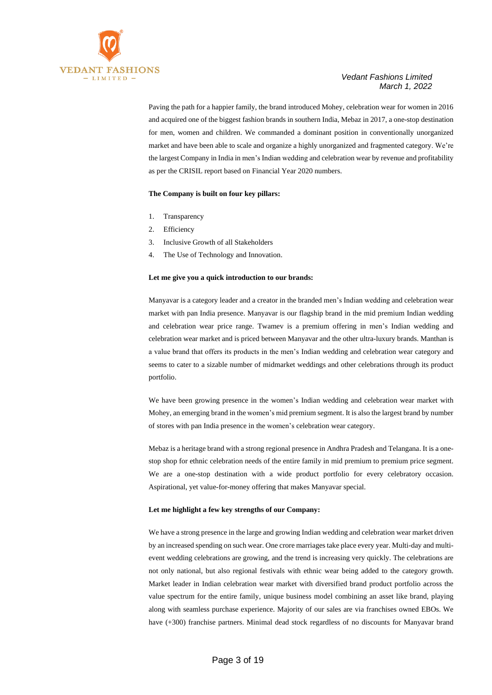

Paving the path for a happier family, the brand introduced Mohey, celebration wear for women in 2016 and acquired one of the biggest fashion brands in southern India, Mebaz in 2017, a one-stop destination for men, women and children. We commanded a dominant position in conventionally unorganized market and have been able to scale and organize a highly unorganized and fragmented category. We're the largest Company in India in men's Indian wedding and celebration wear by revenue and profitability as per the CRISIL report based on Financial Year 2020 numbers.

#### **The Company is built on four key pillars:**

- 1. Transparency
- 2. Efficiency
- 3. Inclusive Growth of all Stakeholders
- 4. The Use of Technology and Innovation.

#### **Let me give you a quick introduction to our brands:**

Manyavar is a category leader and a creator in the branded men's Indian wedding and celebration wear market with pan India presence. Manyavar is our flagship brand in the mid premium Indian wedding and celebration wear price range. Twamev is a premium offering in men's Indian wedding and celebration wear market and is priced between Manyavar and the other ultra-luxury brands. Manthan is a value brand that offers its products in the men's Indian wedding and celebration wear category and seems to cater to a sizable number of midmarket weddings and other celebrations through its product portfolio.

We have been growing presence in the women's Indian wedding and celebration wear market with Mohey, an emerging brand in the women's mid premium segment. It is also the largest brand by number of stores with pan India presence in the women's celebration wear category.

Mebaz is a heritage brand with a strong regional presence in Andhra Pradesh and Telangana. It is a onestop shop for ethnic celebration needs of the entire family in mid premium to premium price segment. We are a one-stop destination with a wide product portfolio for every celebratory occasion. Aspirational, yet value-for-money offering that makes Manyavar special.

#### **Let me highlight a few key strengths of our Company:**

We have a strong presence in the large and growing Indian wedding and celebration wear market driven by an increased spending on such wear. One crore marriages take place every year. Multi-day and multievent wedding celebrations are growing, and the trend is increasing very quickly. The celebrations are not only national, but also regional festivals with ethnic wear being added to the category growth. Market leader in Indian celebration wear market with diversified brand product portfolio across the value spectrum for the entire family, unique business model combining an asset like brand, playing along with seamless purchase experience. Majority of our sales are via franchises owned EBOs. We have (+300) franchise partners. Minimal dead stock regardless of no discounts for Manyavar brand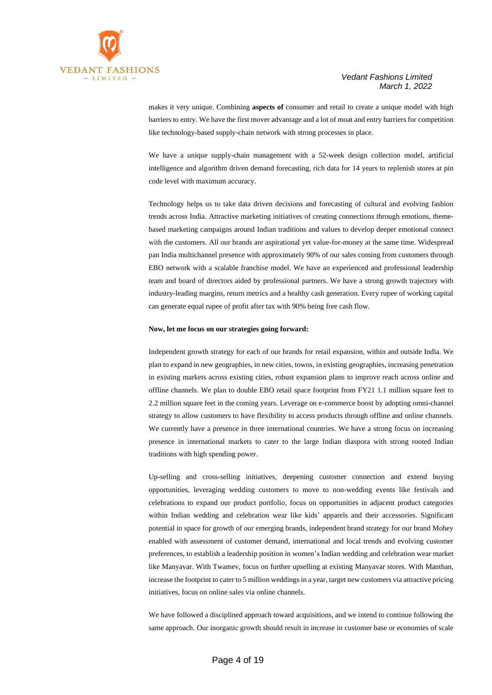



makes it very unique. Combining **aspects of** consumer and retail to create a unique model with high barriers to entry. We have the first mover advantage and a lot of moat and entry barriers for competition like technology-based supply-chain network with strong processes in place.

We have a unique supply-chain management with a 52-week design collection model, artificial intelligence and algorithm driven demand forecasting, rich data for 14 years to replenish stores at pin code level with maximum accuracy.

Technology helps us to take data driven decisions and forecasting of cultural and evolving fashion trends across India. Attractive marketing initiatives of creating connections through emotions, themebased marketing campaigns around Indian traditions and values to develop deeper emotional connect with the customers. All our brands are aspirational yet value-for-money at the same time. Widespread pan India multichannel presence with approximately 90% of our sales coming from customers through EBO network with a scalable franchise model. We have an experienced and professional leadership team and board of directors aided by professional partners. We have a strong growth trajectory with industry-leading margins, return metrics and a healthy cash generation. Every rupee of working capital can generate equal rupee of profit after tax with 90% being free cash flow.

#### **Now, let me focus on our strategies going forward:**

Independent growth strategy for each of our brands for retail expansion, within and outside India. We plan to expand in new geographies, in new cities, towns, in existing geographies, increasing penetration in existing markets across existing cities, robust expansion plans to improve reach across online and offline channels. We plan to double EBO retail space footprint from FY21 1.1 million square feet to 2.2 million square feet in the coming years. Leverage on e-commerce boost by adopting omni-channel strategy to allow customers to have flexibility to access products through offline and online channels. We currently have a presence in three international countries. We have a strong focus on increasing presence in international markets to cater to the large Indian diaspora with strong rooted Indian traditions with high spending power.

Up-selling and cross-selling initiatives, deepening customer connection and extend buying opportunities, leveraging wedding customers to move to non-wedding events like festivals and celebrations to expand our product portfolio, focus on opportunities in adjacent product categories within Indian wedding and celebration wear like kids' apparels and their accessories. Significant potential in space for growth of our emerging brands, independent brand strategy for our brand Mohey enabled with assessment of customer demand, international and local trends and evolving customer preferences, to establish a leadership position in women's Indian wedding and celebration wear market like Manyavar. With Twamev, focus on further upselling at existing Manyavar stores. With Manthan, increase the footprint to cater to 5 million weddingsin a year, target new customers via attractive pricing initiatives, focus on online sales via online channels.

We have followed a disciplined approach toward acquisitions, and we intend to continue following the same approach. Our inorganic growth should result in increase in customer base or economies of scale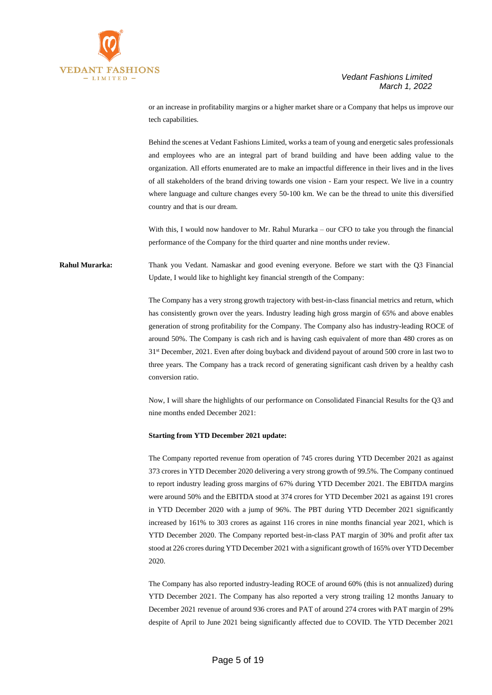

or an increase in profitability margins or a higher market share or a Company that helps us improve our tech capabilities.

Behind the scenes at Vedant Fashions Limited, works a team of young and energetic sales professionals and employees who are an integral part of brand building and have been adding value to the organization. All efforts enumerated are to make an impactful difference in their lives and in the lives of all stakeholders of the brand driving towards one vision - Earn your respect. We live in a country where language and culture changes every 50-100 km. We can be the thread to unite this diversified country and that is our dream.

With this, I would now handover to Mr. Rahul Murarka – our CFO to take you through the financial performance of the Company for the third quarter and nine months under review.

**Rahul Murarka:** Thank you Vedant. Namaskar and good evening everyone. Before we start with the Q3 Financial Update, I would like to highlight key financial strength of the Company:

> The Company has a very strong growth trajectory with best-in-class financial metrics and return, which has consistently grown over the years. Industry leading high gross margin of 65% and above enables generation of strong profitability for the Company. The Company also has industry-leading ROCE of around 50%. The Company is cash rich and is having cash equivalent of more than 480 crores as on 31st December, 2021. Even after doing buyback and dividend payout of around 500 crore in last two to three years. The Company has a track record of generating significant cash driven by a healthy cash conversion ratio.

> Now, I will share the highlights of our performance on Consolidated Financial Results for the Q3 and nine months ended December 2021:

#### **Starting from YTD December 2021 update:**

The Company reported revenue from operation of 745 crores during YTD December 2021 as against 373 crores in YTD December 2020 delivering a very strong growth of 99.5%. The Company continued to report industry leading gross margins of 67% during YTD December 2021. The EBITDA margins were around 50% and the EBITDA stood at 374 crores for YTD December 2021 as against 191 crores in YTD December 2020 with a jump of 96%. The PBT during YTD December 2021 significantly increased by 161% to 303 crores as against 116 crores in nine months financial year 2021, which is YTD December 2020. The Company reported best-in-class PAT margin of 30% and profit after tax stood at 226 crores during YTD December 2021 with a significant growth of 165% over YTD December 2020.

The Company has also reported industry-leading ROCE of around 60% (this is not annualized) during YTD December 2021. The Company has also reported a very strong trailing 12 months January to December 2021 revenue of around 936 crores and PAT of around 274 crores with PAT margin of 29% despite of April to June 2021 being significantly affected due to COVID. The YTD December 2021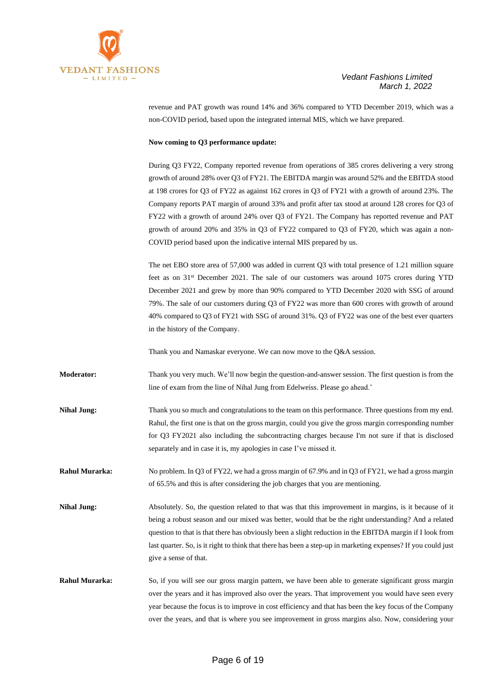

revenue and PAT growth was round 14% and 36% compared to YTD December 2019, which was a non-COVID period, based upon the integrated internal MIS, which we have prepared.

#### **Now coming to Q3 performance update:**

During Q3 FY22, Company reported revenue from operations of 385 crores delivering a very strong growth of around 28% over Q3 of FY21. The EBITDA margin was around 52% and the EBITDA stood at 198 crores for Q3 of FY22 as against 162 crores in Q3 of FY21 with a growth of around 23%. The Company reports PAT margin of around 33% and profit after tax stood at around 128 crores for Q3 of FY22 with a growth of around 24% over Q3 of FY21. The Company has reported revenue and PAT growth of around 20% and 35% in Q3 of FY22 compared to Q3 of FY20, which was again a non-COVID period based upon the indicative internal MIS prepared by us.

The net EBO store area of 57,000 was added in current Q3 with total presence of 1.21 million square feet as on 31st December 2021. The sale of our customers was around 1075 crores during YTD December 2021 and grew by more than 90% compared to YTD December 2020 with SSG of around 79%. The sale of our customers during Q3 of FY22 was more than 600 crores with growth of around 40% compared to Q3 of FY21 with SSG of around 31%. Q3 of FY22 was one of the best ever quarters in the history of the Company.

Thank you and Namaskar everyone. We can now move to the Q&A session.

**Moderator:** Thank you very much. We'll now begin the question-and-answer session. The first question is from the line of exam from the line of Nihal Jung from Edelweiss. Please go ahead.'

**Nihal Jung:** Thank you so much and congratulations to the team on this performance. Three questions from my end. Rahul, the first one is that on the gross margin, could you give the gross margin corresponding number for Q3 FY2021 also including the subcontracting charges because I'm not sure if that is disclosed separately and in case it is, my apologies in case I've missed it.

**Rahul Murarka:** No problem. In Q3 of FY22, we had a gross margin of 67.9% and in Q3 of FY21, we had a gross margin of 65.5% and this is after considering the job charges that you are mentioning.

**Nihal Jung:** Absolutely. So, the question related to that was that this improvement in margins, is it because of it being a robust season and our mixed was better, would that be the right understanding? And a related question to that is that there has obviously been a slight reduction in the EBITDA margin if I look from last quarter. So, is it right to think that there has been a step-up in marketing expenses? If you could just give a sense of that.

**Rahul Murarka:** So, if you will see our gross margin pattern, we have been able to generate significant gross margin over the years and it has improved also over the years. That improvement you would have seen every year because the focus is to improve in cost efficiency and that has been the key focus of the Company over the years, and that is where you see improvement in gross margins also. Now, considering your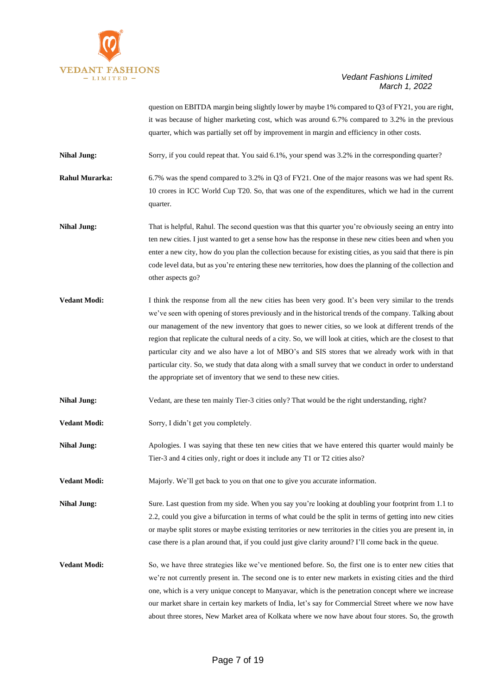

question on EBITDA margin being slightly lower by maybe 1% compared to Q3 of FY21, you are right, it was because of higher marketing cost, which was around 6.7% compared to 3.2% in the previous quarter, which was partially set off by improvement in margin and efficiency in other costs.

**Nihal Jung:** Sorry, if you could repeat that. You said 6.1%, your spend was 3.2% in the corresponding quarter?

**Rahul Murarka:** 6.7% was the spend compared to 3.2% in Q3 of FY21. One of the major reasons was we had spent Rs. 10 crores in ICC World Cup T20. So, that was one of the expenditures, which we had in the current quarter.

**Nihal Jung:** That is helpful, Rahul. The second question was that this quarter you're obviously seeing an entry into ten new cities. I just wanted to get a sense how has the response in these new cities been and when you enter a new city, how do you plan the collection because for existing cities, as you said that there is pin code level data, but as you're entering these new territories, how does the planning of the collection and other aspects go?

- **Vedant Modi:** I think the response from all the new cities has been very good. It's been very similar to the trends we've seen with opening of stores previously and in the historical trends of the company. Talking about our management of the new inventory that goes to newer cities, so we look at different trends of the region that replicate the cultural needs of a city. So, we will look at cities, which are the closest to that particular city and we also have a lot of MBO's and SIS stores that we already work with in that particular city. So, we study that data along with a small survey that we conduct in order to understand the appropriate set of inventory that we send to these new cities.
- Nihal Jung: Vedant, are these ten mainly Tier-3 cities only? That would be the right understanding, right?
- **Vedant Modi:** Sorry, I didn't get you completely.

**Nihal Jung:** Apologies. I was saying that these ten new cities that we have entered this quarter would mainly be Tier-3 and 4 cities only, right or does it include any T1 or T2 cities also?

**Vedant Modi:** Majorly. We'll get back to you on that one to give you accurate information.

**Nihal Jung:** Sure. Last question from my side. When you say you're looking at doubling your footprint from 1.1 to 2.2, could you give a bifurcation in terms of what could be the split in terms of getting into new cities or maybe split stores or maybe existing territories or new territories in the cities you are present in, in case there is a plan around that, if you could just give clarity around? I'll come back in the queue.

**Vedant Modi:** So, we have three strategies like we've mentioned before. So, the first one is to enter new cities that we're not currently present in. The second one is to enter new markets in existing cities and the third one, which is a very unique concept to Manyavar, which is the penetration concept where we increase our market share in certain key markets of India, let's say for Commercial Street where we now have about three stores, New Market area of Kolkata where we now have about four stores. So, the growth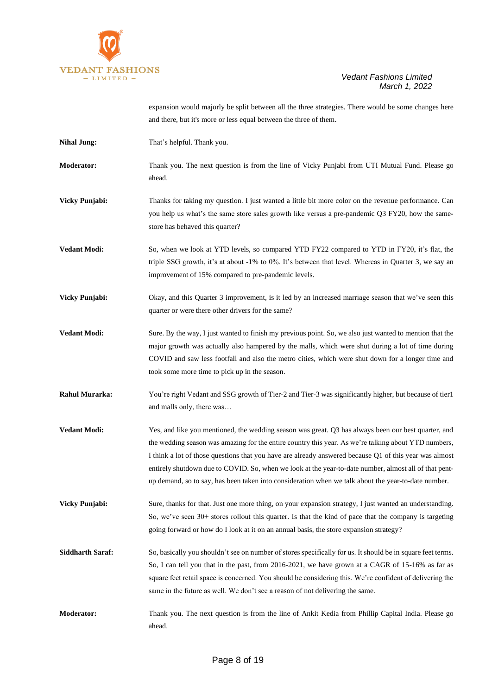

expansion would majorly be split between all the three strategies. There would be some changes here and there, but it's more or less equal between the three of them.

- **Nihal Jung:** That's helpful. Thank you.
- **Moderator:** Thank you. The next question is from the line of Vicky Punjabi from UTI Mutual Fund. Please go ahead.
- **Vicky Punjabi:** Thanks for taking my question. I just wanted a little bit more color on the revenue performance. Can you help us what's the same store sales growth like versus a pre-pandemic Q3 FY20, how the samestore has behaved this quarter?
- **Vedant Modi:** So, when we look at YTD levels, so compared YTD FY22 compared to YTD in FY20, it's flat, the triple SSG growth, it's at about -1% to 0%. It's between that level. Whereas in Quarter 3, we say an improvement of 15% compared to pre-pandemic levels.
- **Vicky Punjabi:** Okay, and this Quarter 3 improvement, is it led by an increased marriage season that we've seen this quarter or were there other drivers for the same?
- **Vedant Modi:** Sure. By the way, I just wanted to finish my previous point. So, we also just wanted to mention that the major growth was actually also hampered by the malls, which were shut during a lot of time during COVID and saw less footfall and also the metro cities, which were shut down for a longer time and took some more time to pick up in the season.
- **Rahul Murarka:** You're right Vedant and SSG growth of Tier-2 and Tier-3 was significantly higher, but because of tier1 and malls only, there was…
- **Vedant Modi:** Yes, and like you mentioned, the wedding season was great. Q3 has always been our best quarter, and the wedding season was amazing for the entire country this year. As we're talking about YTD numbers, I think a lot of those questions that you have are already answered because Q1 of this year was almost entirely shutdown due to COVID. So, when we look at the year-to-date number, almost all of that pentup demand, so to say, has been taken into consideration when we talk about the year-to-date number.
- **Vicky Punjabi:** Sure, thanks for that. Just one more thing, on your expansion strategy, I just wanted an understanding. So, we've seen 30+ stores rollout this quarter. Is that the kind of pace that the company is targeting going forward or how do I look at it on an annual basis, the store expansion strategy?
- **Siddharth Saraf:** So, basically you shouldn't see on number of stores specifically for us. It should be in square feet terms. So, I can tell you that in the past, from 2016-2021, we have grown at a CAGR of 15-16% as far as square feet retail space is concerned. You should be considering this. We're confident of delivering the same in the future as well. We don't see a reason of not delivering the same.
- **Moderator:** Thank you. The next question is from the line of Ankit Kedia from Phillip Capital India. Please go ahead.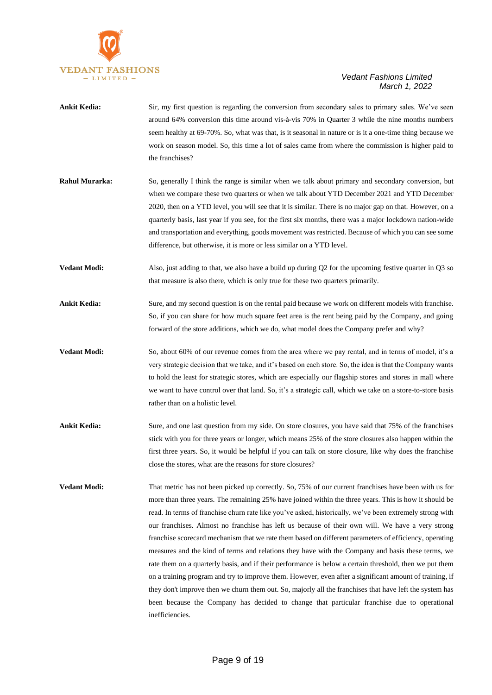

| <b>Ankit Kedia:</b>   | Sir, my first question is regarding the conversion from secondary sales to primary sales. We've seen<br>around 64% conversion this time around vis-à-vis 70% in Quarter 3 while the nine months numbers<br>seem healthy at 69-70%. So, what was that, is it seasonal in nature or is it a one-time thing because we<br>work on season model. So, this time a lot of sales came from where the commission is higher paid to<br>the franchises?                                                                                                                                                                                                                                                                                                                                                                                                                                                                                                                                                                                                                                                    |
|-----------------------|--------------------------------------------------------------------------------------------------------------------------------------------------------------------------------------------------------------------------------------------------------------------------------------------------------------------------------------------------------------------------------------------------------------------------------------------------------------------------------------------------------------------------------------------------------------------------------------------------------------------------------------------------------------------------------------------------------------------------------------------------------------------------------------------------------------------------------------------------------------------------------------------------------------------------------------------------------------------------------------------------------------------------------------------------------------------------------------------------|
| <b>Rahul Murarka:</b> | So, generally I think the range is similar when we talk about primary and secondary conversion, but<br>when we compare these two quarters or when we talk about YTD December 2021 and YTD December<br>2020, then on a YTD level, you will see that it is similar. There is no major gap on that. However, on a<br>quarterly basis, last year if you see, for the first six months, there was a major lockdown nation-wide<br>and transportation and everything, goods movement was restricted. Because of which you can see some<br>difference, but otherwise, it is more or less similar on a YTD level.                                                                                                                                                                                                                                                                                                                                                                                                                                                                                        |
| <b>Vedant Modi:</b>   | Also, just adding to that, we also have a build up during $Q2$ for the upcoming festive quarter in $Q3$ so<br>that measure is also there, which is only true for these two quarters primarily.                                                                                                                                                                                                                                                                                                                                                                                                                                                                                                                                                                                                                                                                                                                                                                                                                                                                                                   |
| <b>Ankit Kedia:</b>   | Sure, and my second question is on the rental paid because we work on different models with franchise.<br>So, if you can share for how much square feet area is the rent being paid by the Company, and going<br>forward of the store additions, which we do, what model does the Company prefer and why?                                                                                                                                                                                                                                                                                                                                                                                                                                                                                                                                                                                                                                                                                                                                                                                        |
| <b>Vedant Modi:</b>   | So, about 60% of our revenue comes from the area where we pay rental, and in terms of model, it's a<br>very strategic decision that we take, and it's based on each store. So, the idea is that the Company wants<br>to hold the least for strategic stores, which are especially our flagship stores and stores in mall where<br>we want to have control over that land. So, it's a strategic call, which we take on a store-to-store basis<br>rather than on a holistic level.                                                                                                                                                                                                                                                                                                                                                                                                                                                                                                                                                                                                                 |
| <b>Ankit Kedia:</b>   | Sure, and one last question from my side. On store closures, you have said that 75% of the franchises<br>stick with you for three years or longer, which means 25% of the store closures also happen within the<br>first three years. So, it would be helpful if you can talk on store closure, like why does the franchise<br>close the stores, what are the reasons for store closures?                                                                                                                                                                                                                                                                                                                                                                                                                                                                                                                                                                                                                                                                                                        |
| <b>Vedant Modi:</b>   | That metric has not been picked up correctly. So, 75% of our current franchises have been with us for<br>more than three years. The remaining 25% have joined within the three years. This is how it should be<br>read. In terms of franchise churn rate like you've asked, historically, we've been extremely strong with<br>our franchises. Almost no franchise has left us because of their own will. We have a very strong<br>franchise scorecard mechanism that we rate them based on different parameters of efficiency, operating<br>measures and the kind of terms and relations they have with the Company and basis these terms, we<br>rate them on a quarterly basis, and if their performance is below a certain threshold, then we put them<br>on a training program and try to improve them. However, even after a significant amount of training, if<br>they don't improve then we churn them out. So, majorly all the franchises that have left the system has<br>been because the Company has decided to change that particular franchise due to operational<br>inefficiencies. |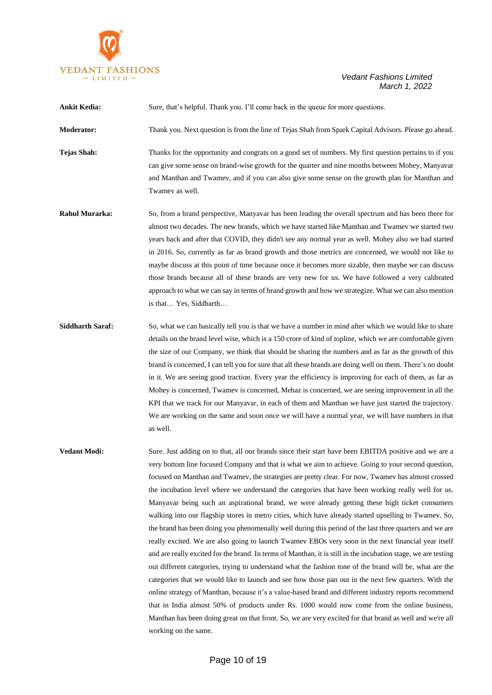

| <b>Ankit Kedia:</b>   | Sure, that's helpful. Thank you. I'll come back in the queue for more questions.                                                                                                                                                                                                                                                                                                                                                                                                                                                                                                                                                                                                                                                                                   |
|-----------------------|--------------------------------------------------------------------------------------------------------------------------------------------------------------------------------------------------------------------------------------------------------------------------------------------------------------------------------------------------------------------------------------------------------------------------------------------------------------------------------------------------------------------------------------------------------------------------------------------------------------------------------------------------------------------------------------------------------------------------------------------------------------------|
| <b>Moderator:</b>     | Thank you. Next question is from the line of Tejas Shah from Spark Capital Advisors. Please go ahead.                                                                                                                                                                                                                                                                                                                                                                                                                                                                                                                                                                                                                                                              |
| <b>Tejas Shah:</b>    | Thanks for the opportunity and congrats on a good set of numbers. My first question pertains to if you<br>can give some sense on brand-wise growth for the quarter and nine months between Mohey, Manyavar<br>and Manthan and Twamev, and if you can also give some sense on the growth plan for Manthan and<br>Twamev as well.                                                                                                                                                                                                                                                                                                                                                                                                                                    |
| <b>Rahul Murarka:</b> | So, from a brand perspective, Manyavar has been leading the overall spectrum and has been there for<br>almost two decades. The new brands, which we have started like Manthan and Twamev we started two<br>years back and after that COVID, they didn't see any normal year as well. Mohey also we had started<br>in 2016. So, currently as far as brand growth and those metrics are concerned, we would not like to<br>maybe discuss at this point of time because once it becomes more sizable, then maybe we can discuss<br>those brands because all of these brands are very new for us. We have followed a very calibrated<br>approach to what we can say in terms of brand growth and how we strategize. What we can also mention<br>is that Yes, Siddharth |

**Siddharth Saraf:** So, what we can basically tell you is that we have a number in mind after which we would like to share details on the brand level wise, which is a 150 crore of kind of topline, which we are comfortable given the size of our Company, we think that should be sharing the numbers and as far as the growth of this brand is concerned, I can tell you for sure that all these brands are doing well on them. There's no doubt in it. We are seeing good traction. Every year the efficiency is improving for each of them, as far as Mohey is concerned, Twamev is concerned, Mebaz is concerned, we are seeing improvement in all the KPI that we track for our Manyavar, in each of them and Manthan we have just started the trajectory. We are working on the same and soon once we will have a normal year, we will have numbers in that as well.

**Vedant Modi:** Sure. Just adding on to that, all our brands since their start have been EBITDA positive and we are a very bottom line focused Company and that is what we aim to achieve. Going to your second question, focused on Manthan and Twamev, the strategies are pretty clear. For now, Twamev has almost crossed the incubation level where we understand the categories that have been working really well for us. Manyavar being such an aspirational brand, we were already getting these high ticket consumers walking into our flagship stores in metro cities, which have already started upselling to Twamev. So, the brand has been doing you phenomenally well during this period of the last three quarters and we are really excited. We are also going to launch Twamev EBOs very soon in the next financial year itself and are really excited for the brand. In terms of Manthan, it is still in the incubation stage, we are testing out different categories, trying to understand what the fashion tone of the brand will be, what are the categories that we would like to launch and see how those pan out in the next few quarters. With the online strategy of Manthan, because it's a value-based brand and different industry reports recommend that in India almost 50% of products under Rs. 1000 would now come from the online business, Manthan has been doing great on that front. So, we are very excited for that brand as well and we're all working on the same.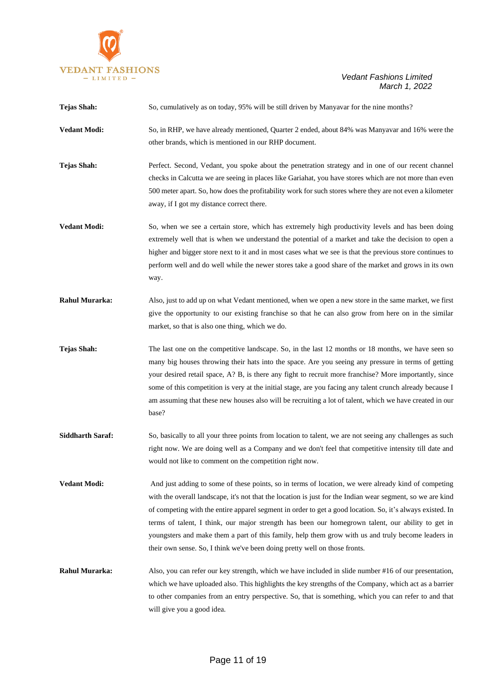

| Tejas Shah:             | So, cumulatively as on today, 95% will be still driven by Manyavar for the nine months?                                                                                                                                                                                                                                                                                                                                                                                                                                                                                                                                 |
|-------------------------|-------------------------------------------------------------------------------------------------------------------------------------------------------------------------------------------------------------------------------------------------------------------------------------------------------------------------------------------------------------------------------------------------------------------------------------------------------------------------------------------------------------------------------------------------------------------------------------------------------------------------|
| <b>Vedant Modi:</b>     | So, in RHP, we have already mentioned, Quarter 2 ended, about 84% was Manyavar and 16% were the<br>other brands, which is mentioned in our RHP document.                                                                                                                                                                                                                                                                                                                                                                                                                                                                |
| <b>Tejas Shah:</b>      | Perfect. Second, Vedant, you spoke about the penetration strategy and in one of our recent channel<br>checks in Calcutta we are seeing in places like Gariahat, you have stores which are not more than even<br>500 meter apart. So, how does the profitability work for such stores where they are not even a kilometer<br>away, if I got my distance correct there.                                                                                                                                                                                                                                                   |
| <b>Vedant Modi:</b>     | So, when we see a certain store, which has extremely high productivity levels and has been doing<br>extremely well that is when we understand the potential of a market and take the decision to open a<br>higher and bigger store next to it and in most cases what we see is that the previous store continues to<br>perform well and do well while the newer stores take a good share of the market and grows in its own<br>way.                                                                                                                                                                                     |
| <b>Rahul Murarka:</b>   | Also, just to add up on what Vedant mentioned, when we open a new store in the same market, we first<br>give the opportunity to our existing franchise so that he can also grow from here on in the similar<br>market, so that is also one thing, which we do.                                                                                                                                                                                                                                                                                                                                                          |
| <b>Tejas Shah:</b>      | The last one on the competitive landscape. So, in the last 12 months or 18 months, we have seen so<br>many big houses throwing their hats into the space. Are you seeing any pressure in terms of getting<br>your desired retail space, A? B, is there any fight to recruit more franchise? More importantly, since<br>some of this competition is very at the initial stage, are you facing any talent crunch already because I<br>am assuming that these new houses also will be recruiting a lot of talent, which we have created in our<br>base?                                                                    |
| <b>Siddharth Saraf:</b> | So, basically to all your three points from location to talent, we are not seeing any challenges as such<br>right now. We are doing well as a Company and we don't feel that competitive intensity till date and<br>would not like to comment on the competition right now.                                                                                                                                                                                                                                                                                                                                             |
| <b>Vedant Modi:</b>     | And just adding to some of these points, so in terms of location, we were already kind of competing<br>with the overall landscape, it's not that the location is just for the Indian wear segment, so we are kind<br>of competing with the entire apparel segment in order to get a good location. So, it's always existed. In<br>terms of talent, I think, our major strength has been our homegrown talent, our ability to get in<br>youngsters and make them a part of this family, help them grow with us and truly become leaders in<br>their own sense. So, I think we've been doing pretty well on those fronts. |
| <b>Rahul Murarka:</b>   | Also, you can refer our key strength, which we have included in slide number #16 of our presentation,<br>which we have uploaded also. This highlights the key strengths of the Company, which act as a barrier<br>to other companies from an entry perspective. So, that is something, which you can refer to and that<br>will give you a good idea.                                                                                                                                                                                                                                                                    |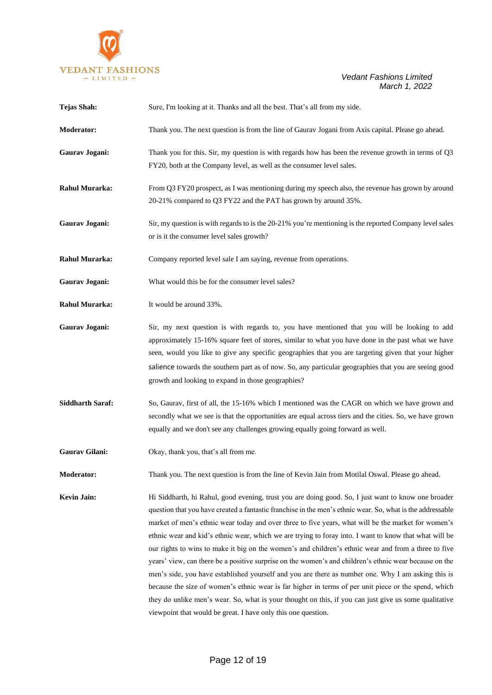

| <b>Tejas Shah:</b>      | Sure, I'm looking at it. Thanks and all the best. That's all from my side.                                                                                                                                                                                                                                                                                                                                                                                                                                                                                                                                                                                                                                                                                                                                                                                                                                                                                                                                                                   |
|-------------------------|----------------------------------------------------------------------------------------------------------------------------------------------------------------------------------------------------------------------------------------------------------------------------------------------------------------------------------------------------------------------------------------------------------------------------------------------------------------------------------------------------------------------------------------------------------------------------------------------------------------------------------------------------------------------------------------------------------------------------------------------------------------------------------------------------------------------------------------------------------------------------------------------------------------------------------------------------------------------------------------------------------------------------------------------|
| <b>Moderator:</b>       | Thank you. The next question is from the line of Gaurav Jogani from Axis capital. Please go ahead.                                                                                                                                                                                                                                                                                                                                                                                                                                                                                                                                                                                                                                                                                                                                                                                                                                                                                                                                           |
| Gaurav Jogani:          | Thank you for this. Sir, my question is with regards how has been the revenue growth in terms of $Q3$<br>FY20, both at the Company level, as well as the consumer level sales.                                                                                                                                                                                                                                                                                                                                                                                                                                                                                                                                                                                                                                                                                                                                                                                                                                                               |
| <b>Rahul Murarka:</b>   | From Q3 FY20 prospect, as I was mentioning during my speech also, the revenue has grown by around<br>20-21% compared to Q3 FY22 and the PAT has grown by around 35%.                                                                                                                                                                                                                                                                                                                                                                                                                                                                                                                                                                                                                                                                                                                                                                                                                                                                         |
| Gaurav Jogani:          | Sir, my question is with regards to is the 20-21% you're mentioning is the reported Company level sales<br>or is it the consumer level sales growth?                                                                                                                                                                                                                                                                                                                                                                                                                                                                                                                                                                                                                                                                                                                                                                                                                                                                                         |
| <b>Rahul Murarka:</b>   | Company reported level sale I am saying, revenue from operations.                                                                                                                                                                                                                                                                                                                                                                                                                                                                                                                                                                                                                                                                                                                                                                                                                                                                                                                                                                            |
| Gaurav Jogani:          | What would this be for the consumer level sales?                                                                                                                                                                                                                                                                                                                                                                                                                                                                                                                                                                                                                                                                                                                                                                                                                                                                                                                                                                                             |
| <b>Rahul Murarka:</b>   | It would be around 33%.                                                                                                                                                                                                                                                                                                                                                                                                                                                                                                                                                                                                                                                                                                                                                                                                                                                                                                                                                                                                                      |
| Gaurav Jogani:          | Sir, my next question is with regards to, you have mentioned that you will be looking to add<br>approximately 15-16% square feet of stores, similar to what you have done in the past what we have<br>seen, would you like to give any specific geographies that you are targeting given that your higher<br>salience towards the southern part as of now. So, any particular geographies that you are seeing good<br>growth and looking to expand in those geographies?                                                                                                                                                                                                                                                                                                                                                                                                                                                                                                                                                                     |
| <b>Siddharth Saraf:</b> | So, Gaurav, first of all, the 15-16% which I mentioned was the CAGR on which we have grown and<br>secondly what we see is that the opportunities are equal across tiers and the cities. So, we have grown<br>equally and we don't see any challenges growing equally going forward as well.                                                                                                                                                                                                                                                                                                                                                                                                                                                                                                                                                                                                                                                                                                                                                  |
| Gaurav Gilani:          | Okay, thank you, that's all from me.                                                                                                                                                                                                                                                                                                                                                                                                                                                                                                                                                                                                                                                                                                                                                                                                                                                                                                                                                                                                         |
| <b>Moderator:</b>       | Thank you. The next question is from the line of Kevin Jain from Motilal Oswal. Please go ahead.                                                                                                                                                                                                                                                                                                                                                                                                                                                                                                                                                                                                                                                                                                                                                                                                                                                                                                                                             |
| <b>Kevin Jain:</b>      | Hi Siddharth, hi Rahul, good evening, trust you are doing good. So, I just want to know one broader<br>question that you have created a fantastic franchise in the men's ethnic wear. So, what is the addressable<br>market of men's ethnic wear today and over three to five years, what will be the market for women's<br>ethnic wear and kid's ethnic wear, which we are trying to foray into. I want to know that what will be<br>our rights to wins to make it big on the women's and children's ethnic wear and from a three to five<br>years' view, can there be a positive surprise on the women's and children's ethnic wear because on the<br>men's side, you have established yourself and you are there as number one. Why I am asking this is<br>because the size of women's ethnic wear is far higher in terms of per unit piece or the spend, which<br>they do unlike men's wear. So, what is your thought on this, if you can just give us some qualitative<br>viewpoint that would be great. I have only this one question. |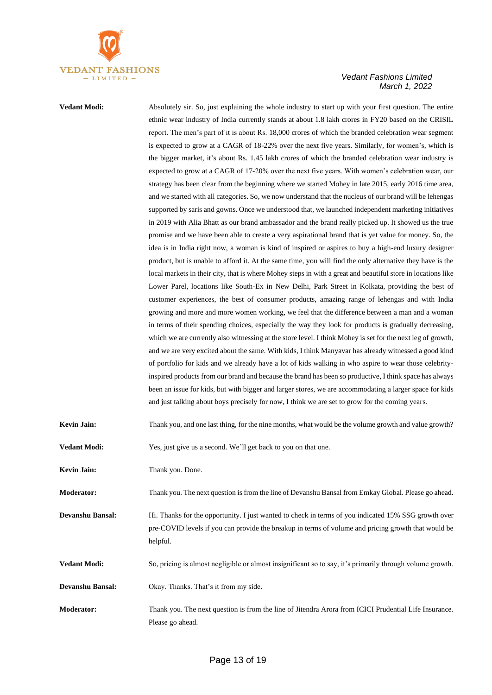

**Vedant Modi:** Absolutely sir. So, just explaining the whole industry to start up with your first question. The entire ethnic wear industry of India currently stands at about 1.8 lakh crores in FY20 based on the CRISIL report. The men's part of it is about Rs. 18,000 crores of which the branded celebration wear segment is expected to grow at a CAGR of 18-22% over the next five years. Similarly, for women's, which is the bigger market, it's about Rs. 1.45 lakh crores of which the branded celebration wear industry is expected to grow at a CAGR of 17-20% over the next five years. With women's celebration wear, our strategy has been clear from the beginning where we started Mohey in late 2015, early 2016 time area, and we started with all categories. So, we now understand that the nucleus of our brand will be lehengas supported by saris and gowns. Once we understood that, we launched independent marketing initiatives in 2019 with Alia Bhatt as our brand ambassador and the brand really picked up. It showed us the true promise and we have been able to create a very aspirational brand that is yet value for money. So, the idea is in India right now, a woman is kind of inspired or aspires to buy a high-end luxury designer product, but is unable to afford it. At the same time, you will find the only alternative they have is the local markets in their city, that is where Mohey steps in with a great and beautiful store in locations like Lower Parel, locations like South-Ex in New Delhi, Park Street in Kolkata, providing the best of customer experiences, the best of consumer products, amazing range of lehengas and with India growing and more and more women working, we feel that the difference between a man and a woman in terms of their spending choices, especially the way they look for products is gradually decreasing, which we are currently also witnessing at the store level. I think Mohey is set for the next leg of growth, and we are very excited about the same. With kids, I think Manyavar has already witnessed a good kind of portfolio for kids and we already have a lot of kids walking in who aspire to wear those celebrityinspired products from our brand and because the brand has been so productive, I think space has always been an issue for kids, but with bigger and larger stores, we are accommodating a larger space for kids and just talking about boys precisely for now, I think we are set to grow for the coming years.

| Kevin Jain:<br>Thank you, and one last thing, for the nine months, what would be the volume growth and value growth? |  |
|----------------------------------------------------------------------------------------------------------------------|--|
|----------------------------------------------------------------------------------------------------------------------|--|

| <b>Vedant Modi:</b> |  | Yes, just give us a second. We'll get back to you on that one. |  |
|---------------------|--|----------------------------------------------------------------|--|
|---------------------|--|----------------------------------------------------------------|--|

**Kevin Jain:** Thank you. Done.

**Moderator:** Thank you. The next question is from the line of Devanshu Bansal from Emkay Global. Please go ahead.

**Devanshu Bansal:** Hi. Thanks for the opportunity. I just wanted to check in terms of you indicated 15% SSG growth over pre-COVID levels if you can provide the breakup in terms of volume and pricing growth that would be helpful.

**Vedant Modi:** So, pricing is almost negligible or almost insignificant so to say, it's primarily through volume growth.

**Devanshu Bansal:** Okay. Thanks. That's it from my side.

**Moderator:** Thank you. The next question is from the line of Jitendra Arora from ICICI Prudential Life Insurance. Please go ahead.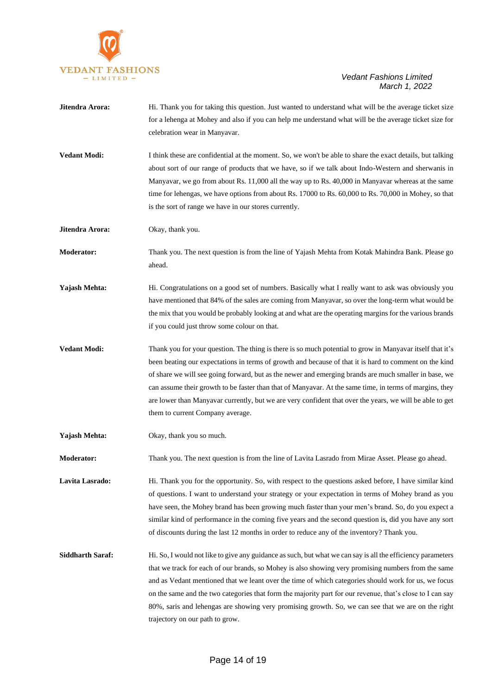

| Jitendra Arora:         | Hi. Thank you for taking this question. Just wanted to understand what will be the average ticket size<br>for a lehenga at Mohey and also if you can help me understand what will be the average ticket size for<br>celebration wear in Manyavar.                                                                                                                                                                                                                                                                                                                                       |
|-------------------------|-----------------------------------------------------------------------------------------------------------------------------------------------------------------------------------------------------------------------------------------------------------------------------------------------------------------------------------------------------------------------------------------------------------------------------------------------------------------------------------------------------------------------------------------------------------------------------------------|
| <b>Vedant Modi:</b>     | I think these are confidential at the moment. So, we won't be able to share the exact details, but talking<br>about sort of our range of products that we have, so if we talk about Indo-Western and sherwanis in<br>Manyavar, we go from about Rs. 11,000 all the way up to Rs. 40,000 in Manyavar whereas at the same<br>time for lehengas, we have options from about Rs. 17000 to Rs. 60,000 to Rs. 70,000 in Mohey, so that<br>is the sort of range we have in our stores currently.                                                                                               |
| Jitendra Arora:         | Okay, thank you.                                                                                                                                                                                                                                                                                                                                                                                                                                                                                                                                                                        |
| <b>Moderator:</b>       | Thank you. The next question is from the line of Yajash Mehta from Kotak Mahindra Bank. Please go<br>ahead.                                                                                                                                                                                                                                                                                                                                                                                                                                                                             |
| Yajash Mehta:           | Hi. Congratulations on a good set of numbers. Basically what I really want to ask was obviously you<br>have mentioned that 84% of the sales are coming from Manyavar, so over the long-term what would be<br>the mix that you would be probably looking at and what are the operating margins for the various brands<br>if you could just throw some colour on that.                                                                                                                                                                                                                    |
| <b>Vedant Modi:</b>     | Thank you for your question. The thing is there is so much potential to grow in Manyavar itself that it's<br>been beating our expectations in terms of growth and because of that it is hard to comment on the kind<br>of share we will see going forward, but as the newer and emerging brands are much smaller in base, we<br>can assume their growth to be faster than that of Manyavar. At the same time, in terms of margins, they<br>are lower than Manyavar currently, but we are very confident that over the years, we will be able to get<br>them to current Company average. |
| <b>Yajash Mehta:</b>    | Okay, thank you so much.                                                                                                                                                                                                                                                                                                                                                                                                                                                                                                                                                                |
| <b>Moderator:</b>       | Thank you. The next question is from the line of Lavita Lasrado from Mirae Asset. Please go ahead.                                                                                                                                                                                                                                                                                                                                                                                                                                                                                      |
| Lavita Lasrado:         | Hi. Thank you for the opportunity. So, with respect to the questions asked before, I have similar kind<br>of questions. I want to understand your strategy or your expectation in terms of Mohey brand as you<br>have seen, the Mohey brand has been growing much faster than your men's brand. So, do you expect a<br>similar kind of performance in the coming five years and the second question is, did you have any sort<br>of discounts during the last 12 months in order to reduce any of the inventory? Thank you.                                                             |
| <b>Siddharth Saraf:</b> | Hi. So, I would not like to give any guidance as such, but what we can say is all the efficiency parameters<br>that we track for each of our brands, so Mohey is also showing very promising numbers from the same<br>and as Vedant mentioned that we leant over the time of which categories should work for us, we focus<br>on the same and the two categories that form the majority part for our revenue, that's close to I can say<br>80%, saris and lehengas are showing very promising growth. So, we can see that we are on the right<br>trajectory on our path to grow.        |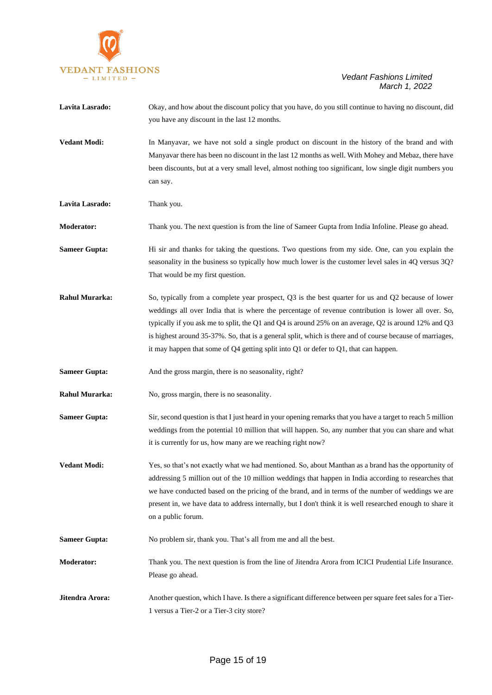

| Lavita Lasrado:       | Okay, and how about the discount policy that you have, do you still continue to having no discount, did<br>you have any discount in the last 12 months.                                                                                                                                                                                                                                                                                                                                                                |
|-----------------------|------------------------------------------------------------------------------------------------------------------------------------------------------------------------------------------------------------------------------------------------------------------------------------------------------------------------------------------------------------------------------------------------------------------------------------------------------------------------------------------------------------------------|
| <b>Vedant Modi:</b>   | In Manyavar, we have not sold a single product on discount in the history of the brand and with<br>Manyavar there has been no discount in the last 12 months as well. With Mohey and Mebaz, there have<br>been discounts, but at a very small level, almost nothing too significant, low single digit numbers you<br>can say.                                                                                                                                                                                          |
| Lavita Lasrado:       | Thank you.                                                                                                                                                                                                                                                                                                                                                                                                                                                                                                             |
| <b>Moderator:</b>     | Thank you. The next question is from the line of Sameer Gupta from India Infoline. Please go ahead.                                                                                                                                                                                                                                                                                                                                                                                                                    |
| <b>Sameer Gupta:</b>  | Hi sir and thanks for taking the questions. Two questions from my side. One, can you explain the<br>seasonality in the business so typically how much lower is the customer level sales in 4Q versus 3Q?<br>That would be my first question.                                                                                                                                                                                                                                                                           |
| <b>Rahul Murarka:</b> | So, typically from a complete year prospect, Q3 is the best quarter for us and Q2 because of lower<br>weddings all over India that is where the percentage of revenue contribution is lower all over. So,<br>typically if you ask me to split, the Q1 and Q4 is around 25% on an average, Q2 is around 12% and Q3<br>is highest around 35-37%. So, that is a general split, which is there and of course because of marriages,<br>it may happen that some of Q4 getting split into Q1 or defer to Q1, that can happen. |
| <b>Sameer Gupta:</b>  | And the gross margin, there is no seasonality, right?                                                                                                                                                                                                                                                                                                                                                                                                                                                                  |
| <b>Rahul Murarka:</b> | No, gross margin, there is no seasonality.                                                                                                                                                                                                                                                                                                                                                                                                                                                                             |
| <b>Sameer Gupta:</b>  | Sir, second question is that I just heard in your opening remarks that you have a target to reach 5 million<br>weddings from the potential 10 million that will happen. So, any number that you can share and what<br>it is currently for us, how many are we reaching right now?                                                                                                                                                                                                                                      |
| <b>Vedant Modi:</b>   | Yes, so that's not exactly what we had mentioned. So, about Manthan as a brand has the opportunity of<br>addressing 5 million out of the 10 million weddings that happen in India according to researches that<br>we have conducted based on the pricing of the brand, and in terms of the number of weddings we are<br>present in, we have data to address internally, but I don't think it is well researched enough to share it<br>on a public forum.                                                               |
| <b>Sameer Gupta:</b>  | No problem sir, thank you. That's all from me and all the best.                                                                                                                                                                                                                                                                                                                                                                                                                                                        |
| <b>Moderator:</b>     | Thank you. The next question is from the line of Jitendra Arora from ICICI Prudential Life Insurance.<br>Please go ahead.                                                                                                                                                                                                                                                                                                                                                                                              |
| Jitendra Arora:       | Another question, which I have. Is there a significant difference between per square feet sales for a Tier-<br>1 versus a Tier-2 or a Tier-3 city store?                                                                                                                                                                                                                                                                                                                                                               |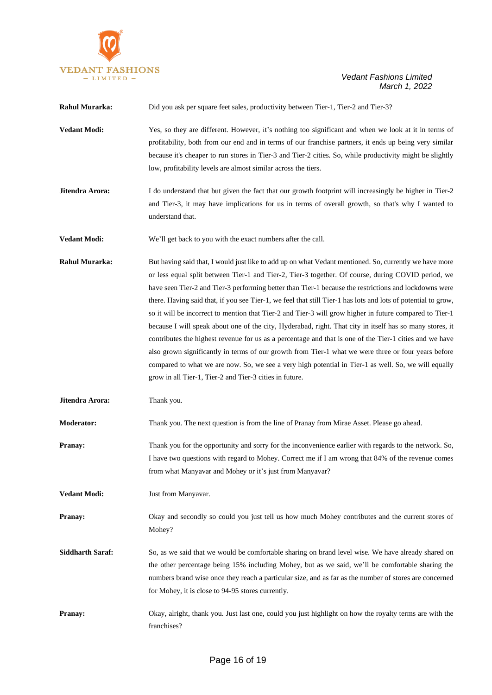

| <b>Rahul Murarka:</b>   | Did you ask per square feet sales, productivity between Tier-1, Tier-2 and Tier-3?                                                                                                                                                                                                                                                                                                                                                                                                                                                                                                                                                                                                                                                                                                                                                                                                                                                                                                                                                                 |  |
|-------------------------|----------------------------------------------------------------------------------------------------------------------------------------------------------------------------------------------------------------------------------------------------------------------------------------------------------------------------------------------------------------------------------------------------------------------------------------------------------------------------------------------------------------------------------------------------------------------------------------------------------------------------------------------------------------------------------------------------------------------------------------------------------------------------------------------------------------------------------------------------------------------------------------------------------------------------------------------------------------------------------------------------------------------------------------------------|--|
| <b>Vedant Modi:</b>     | Yes, so they are different. However, it's nothing too significant and when we look at it in terms of<br>profitability, both from our end and in terms of our franchise partners, it ends up being very similar<br>because it's cheaper to run stores in Tier-3 and Tier-2 cities. So, while productivity might be slightly<br>low, profitability levels are almost similar across the tiers.                                                                                                                                                                                                                                                                                                                                                                                                                                                                                                                                                                                                                                                       |  |
| Jitendra Arora:         | I do understand that but given the fact that our growth footprint will increasingly be higher in Tier-2<br>and Tier-3, it may have implications for us in terms of overall growth, so that's why I wanted to<br>understand that.                                                                                                                                                                                                                                                                                                                                                                                                                                                                                                                                                                                                                                                                                                                                                                                                                   |  |
| <b>Vedant Modi:</b>     | We'll get back to you with the exact numbers after the call.                                                                                                                                                                                                                                                                                                                                                                                                                                                                                                                                                                                                                                                                                                                                                                                                                                                                                                                                                                                       |  |
| <b>Rahul Murarka:</b>   | But having said that, I would just like to add up on what Vedant mentioned. So, currently we have more<br>or less equal split between Tier-1 and Tier-2, Tier-3 together. Of course, during COVID period, we<br>have seen Tier-2 and Tier-3 performing better than Tier-1 because the restrictions and lockdowns were<br>there. Having said that, if you see Tier-1, we feel that still Tier-1 has lots and lots of potential to grow,<br>so it will be incorrect to mention that Tier-2 and Tier-3 will grow higher in future compared to Tier-1<br>because I will speak about one of the city, Hyderabad, right. That city in itself has so many stores, it<br>contributes the highest revenue for us as a percentage and that is one of the Tier-1 cities and we have<br>also grown significantly in terms of our growth from Tier-1 what we were three or four years before<br>compared to what we are now. So, we see a very high potential in Tier-1 as well. So, we will equally<br>grow in all Tier-1, Tier-2 and Tier-3 cities in future. |  |
| Jitendra Arora:         | Thank you.                                                                                                                                                                                                                                                                                                                                                                                                                                                                                                                                                                                                                                                                                                                                                                                                                                                                                                                                                                                                                                         |  |
| Moderator:              | Thank you. The next question is from the line of Pranay from Mirae Asset. Please go ahead.                                                                                                                                                                                                                                                                                                                                                                                                                                                                                                                                                                                                                                                                                                                                                                                                                                                                                                                                                         |  |
| Pranay:                 | Thank you for the opportunity and sorry for the inconvenience earlier with regards to the network. So,<br>I have two questions with regard to Mohey. Correct me if I am wrong that 84% of the revenue comes<br>from what Manyavar and Mohey or it's just from Manyavar?                                                                                                                                                                                                                                                                                                                                                                                                                                                                                                                                                                                                                                                                                                                                                                            |  |
| <b>Vedant Modi:</b>     | Just from Manyavar.                                                                                                                                                                                                                                                                                                                                                                                                                                                                                                                                                                                                                                                                                                                                                                                                                                                                                                                                                                                                                                |  |
| Pranay:                 | Okay and secondly so could you just tell us how much Mohey contributes and the current stores of<br>Mohey?                                                                                                                                                                                                                                                                                                                                                                                                                                                                                                                                                                                                                                                                                                                                                                                                                                                                                                                                         |  |
| <b>Siddharth Saraf:</b> | So, as we said that we would be comfortable sharing on brand level wise. We have already shared on<br>the other percentage being 15% including Mohey, but as we said, we'll be comfortable sharing the<br>numbers brand wise once they reach a particular size, and as far as the number of stores are concerned<br>for Mohey, it is close to 94-95 stores currently.                                                                                                                                                                                                                                                                                                                                                                                                                                                                                                                                                                                                                                                                              |  |
| Pranay:                 | Okay, alright, thank you. Just last one, could you just highlight on how the royalty terms are with the<br>franchises?                                                                                                                                                                                                                                                                                                                                                                                                                                                                                                                                                                                                                                                                                                                                                                                                                                                                                                                             |  |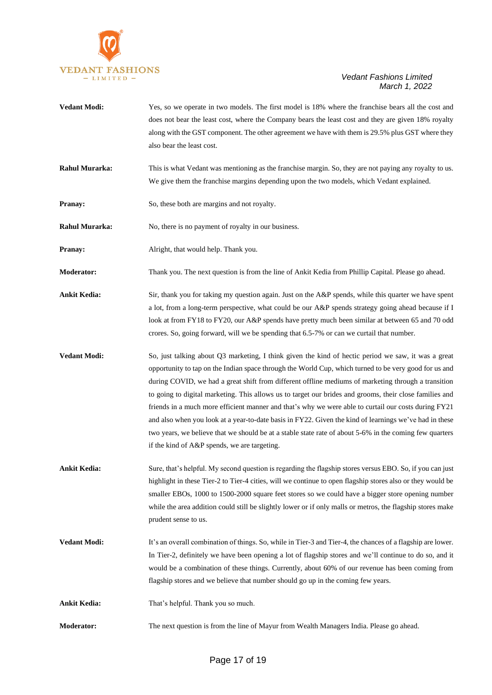

- **Vedant Modi:** Yes, so we operate in two models. The first model is 18% where the franchise bears all the cost and does not bear the least cost, where the Company bears the least cost and they are given 18% royalty along with the GST component. The other agreement we have with them is 29.5% plus GST where they also bear the least cost.
- **Rahul Murarka:** This is what Vedant was mentioning as the franchise margin. So, they are not paying any royalty to us. We give them the franchise margins depending upon the two models, which Vedant explained.
- **Pranay:** So, these both are margins and not royalty.

**Rahul Murarka:** No, there is no payment of royalty in our business.

- **Pranay:** Alright, that would help. Thank you.
- **Moderator:** Thank you. The next question is from the line of Ankit Kedia from Phillip Capital. Please go ahead.
- **Ankit Kedia:** Sir, thank you for taking my question again. Just on the A&P spends, while this quarter we have spent a lot, from a long-term perspective, what could be our A&P spends strategy going ahead because if I look at from FY18 to FY20, our A&P spends have pretty much been similar at between 65 and 70 odd crores. So, going forward, will we be spending that 6.5-7% or can we curtail that number.
- **Vedant Modi:** So, just talking about Q3 marketing, I think given the kind of hectic period we saw, it was a great opportunity to tap on the Indian space through the World Cup, which turned to be very good for us and during COVID, we had a great shift from different offline mediums of marketing through a transition to going to digital marketing. This allows us to target our brides and grooms, their close families and friends in a much more efficient manner and that's why we were able to curtail our costs during FY21 and also when you look at a year-to-date basis in FY22. Given the kind of learnings we've had in these two years, we believe that we should be at a stable state rate of about 5-6% in the coming few quarters if the kind of A&P spends, we are targeting.
- **Ankit Kedia:** Sure, that's helpful. My second question is regarding the flagship stores versus EBO. So, if you can just highlight in these Tier-2 to Tier-4 cities, will we continue to open flagship stores also or they would be smaller EBOs, 1000 to 1500-2000 square feet stores so we could have a bigger store opening number while the area addition could still be slightly lower or if only malls or metros, the flagship stores make prudent sense to us.
- **Vedant Modi:** It's an overall combination of things. So, while in Tier-3 and Tier-4, the chances of a flagship are lower. In Tier-2, definitely we have been opening a lot of flagship stores and we'll continue to do so, and it would be a combination of these things. Currently, about 60% of our revenue has been coming from flagship stores and we believe that number should go up in the coming few years.
- Ankit Kedia: That's helpful. Thank you so much.
- **Moderator:** The next question is from the line of Mayur from Wealth Managers India. Please go ahead.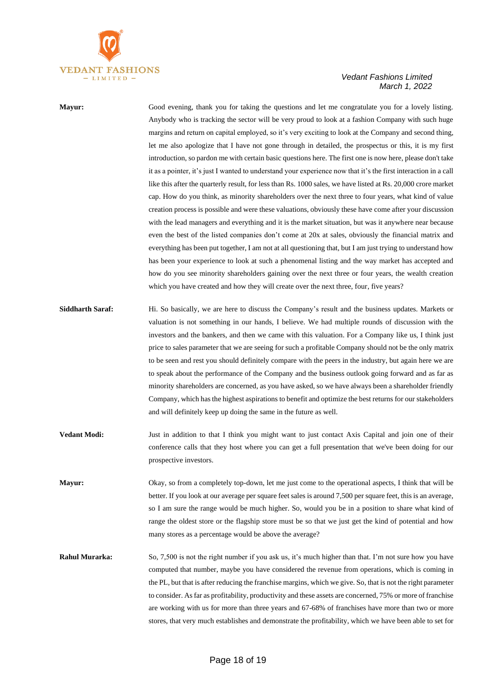

**Mayur:** Good evening, thank you for taking the questions and let me congratulate you for a lovely listing. Anybody who is tracking the sector will be very proud to look at a fashion Company with such huge margins and return on capital employed, so it's very exciting to look at the Company and second thing, let me also apologize that I have not gone through in detailed, the prospectus or this, it is my first introduction, so pardon me with certain basic questions here. The first one is now here, please don't take it as a pointer, it's just I wanted to understand your experience now that it's the first interaction in a call like this after the quarterly result, for less than Rs. 1000 sales, we have listed at Rs. 20,000 crore market cap. How do you think, as minority shareholders over the next three to four years, what kind of value creation process is possible and were these valuations, obviously these have come after your discussion with the lead managers and everything and it is the market situation, but was it anywhere near because even the best of the listed companies don't come at 20x at sales, obviously the financial matrix and everything has been put together, I am not at all questioning that, but I am just trying to understand how has been your experience to look at such a phenomenal listing and the way market has accepted and how do you see minority shareholders gaining over the next three or four years, the wealth creation which you have created and how they will create over the next three, four, five years?

- **Siddharth Saraf:** Hi. So basically, we are here to discuss the Company's result and the business updates. Markets or valuation is not something in our hands, I believe. We had multiple rounds of discussion with the investors and the bankers, and then we came with this valuation. For a Company like us, I think just price to sales parameter that we are seeing for such a profitable Company should not be the only matrix to be seen and rest you should definitely compare with the peers in the industry, but again here we are to speak about the performance of the Company and the business outlook going forward and as far as minority shareholders are concerned, as you have asked, so we have always been a shareholder friendly Company, which has the highest aspirations to benefit and optimize the best returns for our stakeholders and will definitely keep up doing the same in the future as well.
- **Vedant Modi:** Just in addition to that I think you might want to just contact Axis Capital and join one of their conference calls that they host where you can get a full presentation that we've been doing for our prospective investors.
- **Mayur:** Okay, so from a completely top-down, let me just come to the operational aspects, I think that will be better. If you look at our average per square feet sales is around 7,500 per square feet, this is an average, so I am sure the range would be much higher. So, would you be in a position to share what kind of range the oldest store or the flagship store must be so that we just get the kind of potential and how many stores as a percentage would be above the average?
- **Rahul Murarka:** So, 7,500 is not the right number if you ask us, it's much higher than that. I'm not sure how you have computed that number, maybe you have considered the revenue from operations, which is coming in the PL, but that is after reducing the franchise margins, which we give. So, that is not the right parameter to consider. As far as profitability, productivity and these assets are concerned, 75% or more of franchise are working with us for more than three years and 67-68% of franchises have more than two or more stores, that very much establishes and demonstrate the profitability, which we have been able to set for